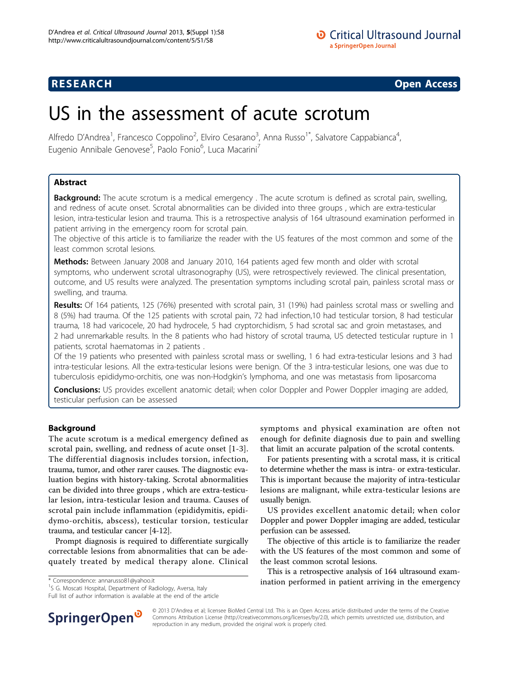**RESEARCH CONSTRUCTION CONSTRUCTS** 

# US in the assessment of acute scrotum

Alfredo D'Andrea<sup>1</sup>, Francesco Coppolino<sup>2</sup>, Elviro Cesarano<sup>3</sup>, Anna Russo<sup>1\*</sup>, Salvatore Cappabianca<sup>4</sup> , Eugenio Annibale Genovese<sup>5</sup>, Paolo Fonio<sup>6</sup>, Luca Macarini<sup>7</sup>

# Abstract

Background: The acute scrotum is a medical emergency . The acute scrotum is defined as scrotal pain, swelling, and redness of acute onset. Scrotal abnormalities can be divided into three groups , which are extra-testicular lesion, intra-testicular lesion and trauma. This is a retrospective analysis of 164 ultrasound examination performed in patient arriving in the emergency room for scrotal pain.

The objective of this article is to familiarize the reader with the US features of the most common and some of the least common scrotal lesions.

Methods: Between January 2008 and January 2010, 164 patients aged few month and older with scrotal symptoms, who underwent scrotal ultrasonography (US), were retrospectively reviewed. The clinical presentation, outcome, and US results were analyzed. The presentation symptoms including scrotal pain, painless scrotal mass or swelling, and trauma.

Results: Of 164 patients, 125 (76%) presented with scrotal pain, 31 (19%) had painless scrotal mass or swelling and 8 (5%) had trauma. Of the 125 patients with scrotal pain, 72 had infection,10 had testicular torsion, 8 had testicular trauma, 18 had varicocele, 20 had hydrocele, 5 had cryptorchidism, 5 had scrotal sac and groin metastases, and 2 had unremarkable results. In the 8 patients who had history of scrotal trauma, US detected testicular rupture in 1 patients, scrotal haematomas in 2 patients .

Of the 19 patients who presented with painless scrotal mass or swelling, 1 6 had extra-testicular lesions and 3 had intra-testicular lesions. All the extra-testicular lesions were benign. Of the 3 intra-testicular lesions, one was due to tuberculosis epididymo-orchitis, one was non-Hodgkin's lymphoma, and one was metastasis from liposarcoma

**Conclusions:** US provides excellent anatomic detail; when color Doppler and Power Doppler imaging are added, testicular perfusion can be assessed

# Background

The acute scrotum is a medical emergency defined as scrotal pain, swelling, and redness of acute onset [[1](#page-5-0)-[3](#page-5-0)]. The differential diagnosis includes torsion, infection, trauma, tumor, and other rarer causes. The diagnostic evaluation begins with history-taking. Scrotal abnormalities can be divided into three groups , which are extra-testicular lesion, intra-testicular lesion and trauma. Causes of scrotal pain include inflammation (epididymitis, epididymo-orchitis, abscess), testicular torsion, testicular trauma, and testicular cancer [\[4-12\]](#page-5-0).

Prompt diagnosis is required to differentiate surgically correctable lesions from abnormalities that can be adequately treated by medical therapy alone. Clinical

Full list of author information is available at the end of the article

symptoms and physical examination are often not enough for definite diagnosis due to pain and swelling that limit an accurate palpation of the scrotal contents.

For patients presenting with a scrotal mass, it is critical to determine whether the mass is intra- or extra-testicular. This is important because the majority of intra-testicular lesions are malignant, while extra-testicular lesions are usually benign.

US provides excellent anatomic detail; when color Doppler and power Doppler imaging are added, testicular perfusion can be assessed.

The objective of this article is to familiarize the reader with the US features of the most common and some of the least common scrotal lesions.

This is a retrospective analysis of 164 ultrasound examination performed in patient arriving in the emergency \* Correspondence: [annarusso81@yahoo.it](mailto:annarusso81@yahoo.it)



© 2013 D'Andrea et al; licensee BioMed Central Ltd. This is an Open Access article distributed under the terms of the Creative Commons Attribution License [\(http://creativecommons.org/licenses/by/2.0](http://creativecommons.org/licenses/by/2.0)), which permits unrestricted use, distribution, and reproduction in any medium, provided the original work is properly cited.

<sup>&</sup>lt;sup>1</sup>S G. Moscati Hospital, Department of Radiology, Aversa, Italy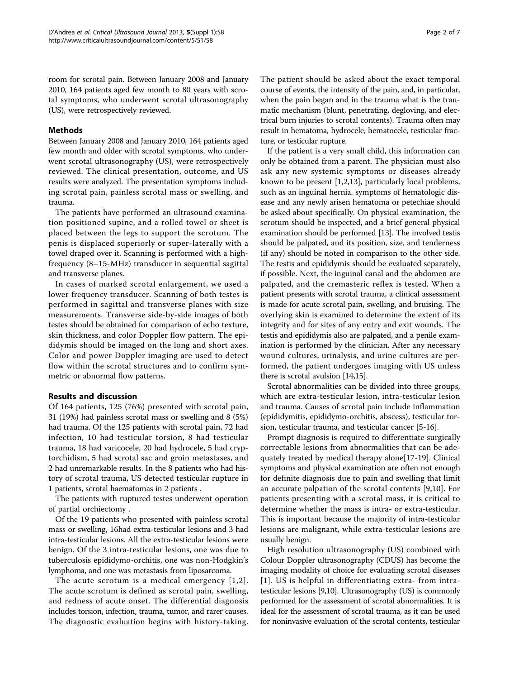room for scrotal pain. Between January 2008 and January 2010, 164 patients aged few month to 80 years with scrotal symptoms, who underwent scrotal ultrasonography (US), were retrospectively reviewed.

# Methods

Between January 2008 and January 2010, 164 patients aged few month and older with scrotal symptoms, who underwent scrotal ultrasonography (US), were retrospectively reviewed. The clinical presentation, outcome, and US results were analyzed. The presentation symptoms including scrotal pain, painless scrotal mass or swelling, and trauma.

The patients have performed an ultrasound examination positioned supine, and a rolled towel or sheet is placed between the legs to support the scrotum. The penis is displaced superiorly or super-laterally with a towel draped over it. Scanning is performed with a highfrequency (8–15-MHz) transducer in sequential sagittal and transverse planes.

In cases of marked scrotal enlargement, we used a lower frequency transducer. Scanning of both testes is performed in sagittal and transverse planes with size measurements. Transverse side-by-side images of both testes should be obtained for comparison of echo texture, skin thickness, and color Doppler flow pattern. The epididymis should be imaged on the long and short axes. Color and power Doppler imaging are used to detect flow within the scrotal structures and to confirm symmetric or abnormal flow patterns.

## Results and discussion

Of 164 patients, 125 (76%) presented with scrotal pain, 31 (19%) had painless scrotal mass or swelling and 8 (5%) had trauma. Of the 125 patients with scrotal pain, 72 had infection, 10 had testicular torsion, 8 had testicular trauma, 18 had varicocele, 20 had hydrocele, 5 had cryptorchidism, 5 had scrotal sac and groin metastases, and 2 had unremarkable results. In the 8 patients who had history of scrotal trauma, US detected testicular rupture in 1 patients, scrotal haematomas in 2 patients .

The patients with ruptured testes underwent operation of partial orchiectomy .

Of the 19 patients who presented with painless scrotal mass or swelling, 16had extra-testicular lesions and 3 had intra-testicular lesions. All the extra-testicular lesions were benign. Of the 3 intra-testicular lesions, one was due to tuberculosis epididymo-orchitis, one was non-Hodgkin's lymphoma, and one was metastasis from liposarcoma.

The acute scrotum is a medical emergency [[1,2\]](#page-5-0). The acute scrotum is defined as scrotal pain, swelling, and redness of acute onset. The differential diagnosis includes torsion, infection, trauma, tumor, and rarer causes. The diagnostic evaluation begins with history-taking.

The patient should be asked about the exact temporal course of events, the intensity of the pain, and, in particular, when the pain began and in the trauma what is the traumatic mechanism (blunt, penetrating, degloving, and electrical burn injuries to scrotal contents). Trauma often may result in hematoma, hydrocele, hematocele, testicular fracture, or testicular rupture.

If the patient is a very small child, this information can only be obtained from a parent. The physician must also ask any new systemic symptoms or diseases already known to be present [[1,2,13\]](#page-5-0), particularly local problems, such as an inguinal hernia. symptoms of hematologic disease and any newly arisen hematoma or petechiae should be asked about specifically. On physical examination, the scrotum should be inspected, and a brief general physical examination should be performed [[13](#page-5-0)]. The involved testis should be palpated, and its position, size, and tenderness (if any) should be noted in comparison to the other side. The testis and epididymis should be evaluated separately, if possible. Next, the inguinal canal and the abdomen are palpated, and the cremasteric reflex is tested. When a patient presents with scrotal trauma, a clinical assessment is made for acute scrotal pain, swelling, and bruising. The overlying skin is examined to determine the extent of its integrity and for sites of any entry and exit wounds. The testis and epididymis also are palpated, and a penile examination is performed by the clinician. After any necessary wound cultures, urinalysis, and urine cultures are performed, the patient undergoes imaging with US unless there is scrotal avulsion [\[14,15](#page-5-0)].

Scrotal abnormalities can be divided into three groups, which are extra-testicular lesion, intra-testicular lesion and trauma. Causes of scrotal pain include inflammation (epididymitis, epididymo-orchitis, abscess), testicular torsion, testicular trauma, and testicular cancer [\[5](#page-5-0)-[16](#page-5-0)].

Prompt diagnosis is required to differentiate surgically correctable lesions from abnormalities that can be adequately treated by medical therapy alone[\[17](#page-5-0)-[19\]](#page-5-0). Clinical symptoms and physical examination are often not enough for definite diagnosis due to pain and swelling that limit an accurate palpation of the scrotal contents [[9,10\]](#page-5-0). For patients presenting with a scrotal mass, it is critical to determine whether the mass is intra- or extra-testicular. This is important because the majority of intra-testicular lesions are malignant, while extra-testicular lesions are usually benign.

High resolution ultrasonography (US) combined with Colour Doppler ultrasonography (CDUS) has become the imaging modality of choice for evaluating scrotal diseases [[1](#page-5-0)]. US is helpful in differentiating extra- from intratesticular lesions [\[9,10](#page-5-0)]. Ultrasonography (US) is commonly performed for the assessment of scrotal abnormalities. It is ideal for the assessment of scrotal trauma, as it can be used for noninvasive evaluation of the scrotal contents, testicular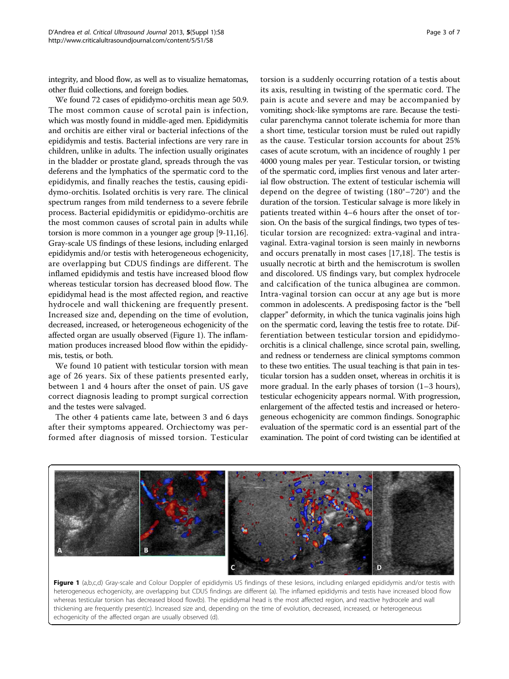integrity, and blood flow, as well as to visualize hematomas, other fluid collections, and foreign bodies.

We found 72 cases of epididymo-orchitis mean age 50.9. The most common cause of scrotal pain is infection, which was mostly found in middle-aged men. Epididymitis and orchitis are either viral or bacterial infections of the epididymis and testis. Bacterial infections are very rare in children, unlike in adults. The infection usually originates in the bladder or prostate gland, spreads through the vas deferens and the lymphatics of the spermatic cord to the epididymis, and finally reaches the testis, causing epididymo-orchitis. Isolated orchitis is very rare. The clinical spectrum ranges from mild tenderness to a severe febrile process. Bacterial epididymitis or epididymo-orchitis are the most common causes of scrotal pain in adults while torsion is more common in a younger age group [[9-11,16](#page-5-0)]. Gray-scale US findings of these lesions, including enlarged epididymis and/or testis with heterogeneous echogenicity, are overlapping but CDUS findings are different. The inflamed epididymis and testis have increased blood flow whereas testicular torsion has decreased blood flow. The epididymal head is the most affected region, and reactive hydrocele and wall thickening are frequently present. Increased size and, depending on the time of evolution, decreased, increased, or heterogeneous echogenicity of the affected organ are usually observed (Figure 1). The inflammation produces increased blood flow within the epididymis, testis, or both.

We found 10 patient with testicular torsion with mean age of 26 years. Six of these patients presented early, between 1 and 4 hours after the onset of pain. US gave correct diagnosis leading to prompt surgical correction and the testes were salvaged.

The other 4 patients came late, between 3 and 6 days after their symptoms appeared. Orchiectomy was performed after diagnosis of missed torsion. Testicular Page 3 of 7

torsion is a suddenly occurring rotation of a testis about its axis, resulting in twisting of the spermatic cord. The pain is acute and severe and may be accompanied by vomiting; shock-like symptoms are rare. Because the testicular parenchyma cannot tolerate ischemia for more than a short time, testicular torsion must be ruled out rapidly as the cause. Testicular torsion accounts for about 25% cases of acute scrotum, with an incidence of roughly 1 per 4000 young males per year. Testicular torsion, or twisting of the spermatic cord, implies first venous and later arterial flow obstruction. The extent of testicular ischemia will depend on the degree of twisting (180°–720°) and the duration of the torsion. Testicular salvage is more likely in patients treated within 4–6 hours after the onset of torsion. On the basis of the surgical findings, two types of testicular torsion are recognized: extra-vaginal and intravaginal. Extra-vaginal torsion is seen mainly in newborns and occurs prenatally in most cases [\[17,18](#page-5-0)]. The testis is usually necrotic at birth and the hemiscrotum is swollen and discolored. US findings vary, but complex hydrocele and calcification of the tunica albuginea are common. Intra-vaginal torsion can occur at any age but is more common in adolescents. A predisposing factor is the "bell clapper" deformity, in which the tunica vaginalis joins high on the spermatic cord, leaving the testis free to rotate. Differentiation between testicular torsion and epididymoorchitis is a clinical challenge, since scrotal pain, swelling, and redness or tenderness are clinical symptoms common to these two entities. The usual teaching is that pain in testicular torsion has a sudden onset, whereas in orchitis it is more gradual. In the early phases of torsion (1–3 hours), testicular echogenicity appears normal. With progression, enlargement of the affected testis and increased or heterogeneous echogenicity are common findings. Sonographic evaluation of the spermatic cord is an essential part of the examination. The point of cord twisting can be identified at



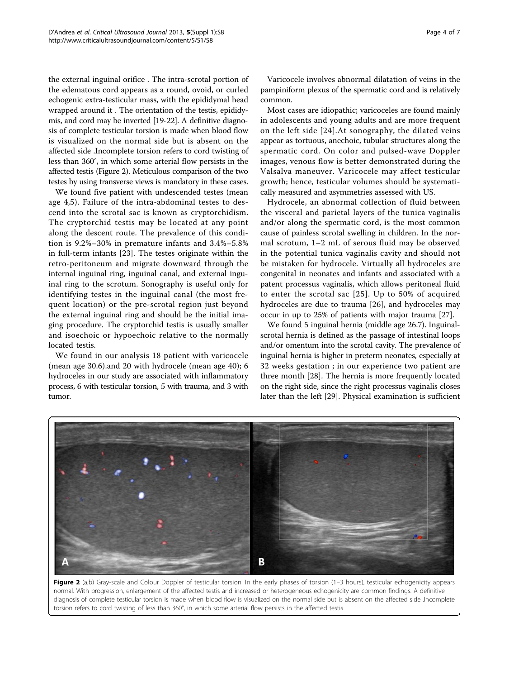the external inguinal orifice . The intra-scrotal portion of the edematous cord appears as a round, ovoid, or curled echogenic extra-testicular mass, with the epididymal head wrapped around it . The orientation of the testis, epididymis, and cord may be inverted [\[19-](#page-5-0)[22\]](#page-6-0). A definitive diagnosis of complete testicular torsion is made when blood flow is visualized on the normal side but is absent on the affected side .Incomplete torsion refers to cord twisting of less than 360°, in which some arterial flow persists in the affected testis (Figure 2). Meticulous comparison of the two testes by using transverse views is mandatory in these cases.

We found five patient with undescended testes (mean age 4,5). Failure of the intra-abdominal testes to descend into the scrotal sac is known as cryptorchidism. The cryptorchid testis may be located at any point along the descent route. The prevalence of this condition is 9.2%–30% in premature infants and 3.4%–5.8% in full-term infants [[23\]](#page-6-0). The testes originate within the retro-peritoneum and migrate downward through the internal inguinal ring, inguinal canal, and external inguinal ring to the scrotum. Sonography is useful only for identifying testes in the inguinal canal (the most frequent location) or the pre-scrotal region just beyond the external inguinal ring and should be the initial imaging procedure. The cryptorchid testis is usually smaller and isoechoic or hypoechoic relative to the normally located testis.

We found in our analysis 18 patient with varicocele (mean age 30.6).and 20 with hydrocele (mean age 40); 6 hydroceles in our study are associated with inflammatory process, 6 with testicular torsion, 5 with trauma, and 3 with tumor.

Varicocele involves abnormal dilatation of veins in the pampiniform plexus of the spermatic cord and is relatively common.

Most cases are idiopathic; varicoceles are found mainly in adolescents and young adults and are more frequent on the left side [[24\]](#page-6-0).At sonography, the dilated veins appear as tortuous, anechoic, tubular structures along the spermatic cord. On color and pulsed-wave Doppler images, venous flow is better demonstrated during the Valsalva maneuver. Varicocele may affect testicular growth; hence, testicular volumes should be systematically measured and asymmetries assessed with US.

Hydrocele, an abnormal collection of fluid between the visceral and parietal layers of the tunica vaginalis and/or along the spermatic cord, is the most common cause of painless scrotal swelling in children. In the normal scrotum, 1–2 mL of serous fluid may be observed in the potential tunica vaginalis cavity and should not be mistaken for hydrocele. Virtually all hydroceles are congenital in neonates and infants and associated with a patent processus vaginalis, which allows peritoneal fluid to enter the scrotal sac [[25](#page-6-0)]. Up to 50% of acquired hydroceles are due to trauma [[26\]](#page-6-0), and hydroceles may occur in up to 25% of patients with major trauma [[27\]](#page-6-0).

We found 5 inguinal hernia (middle age 26.7). Inguinalscrotal hernia is defined as the passage of intestinal loops and/or omentum into the scrotal cavity. The prevalence of inguinal hernia is higher in preterm neonates, especially at 32 weeks gestation ; in our experience two patient are three month [[28\]](#page-6-0). The hernia is more frequently located on the right side, since the right processus vaginalis closes later than the left [[29\]](#page-6-0). Physical examination is sufficient



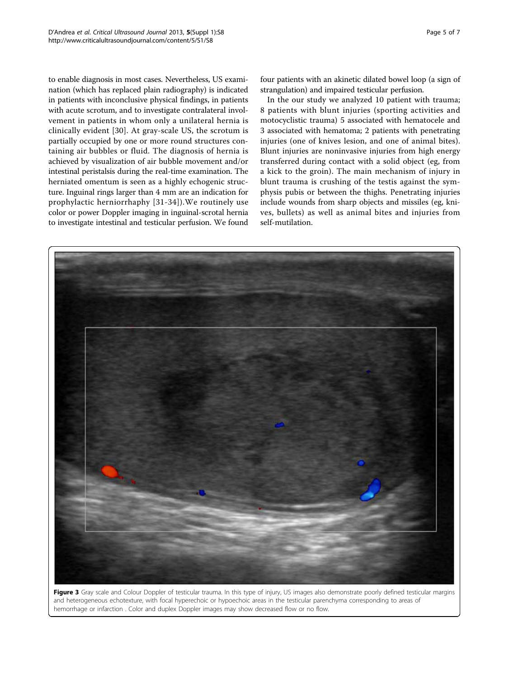<span id="page-4-0"></span>to enable diagnosis in most cases. Nevertheless, US examination (which has replaced plain radiography) is indicated in patients with inconclusive physical findings, in patients with acute scrotum, and to investigate contralateral involvement in patients in whom only a unilateral hernia is clinically evident [\[30\]](#page-6-0). At gray-scale US, the scrotum is partially occupied by one or more round structures containing air bubbles or fluid. The diagnosis of hernia is achieved by visualization of air bubble movement and/or intestinal peristalsis during the real-time examination. The herniated omentum is seen as a highly echogenic structure. Inguinal rings larger than 4 mm are an indication for prophylactic herniorrhaphy [[31-34\]](#page-6-0)).We routinely use color or power Doppler imaging in inguinal-scrotal hernia to investigate intestinal and testicular perfusion. We found

four patients with an akinetic dilated bowel loop (a sign of strangulation) and impaired testicular perfusion.

In the our study we analyzed 10 patient with trauma; 8 patients with blunt injuries (sporting activities and motocyclistic trauma) 5 associated with hematocele and 3 associated with hematoma; 2 patients with penetrating injuries (one of knives lesion, and one of animal bites). Blunt injuries are noninvasive injuries from high energy transferred during contact with a solid object (eg, from a kick to the groin). The main mechanism of injury in blunt trauma is crushing of the testis against the symphysis pubis or between the thighs. Penetrating injuries include wounds from sharp objects and missiles (eg, knives, bullets) as well as animal bites and injuries from self-mutilation.



Figure 3 Gray scale and Colour Doppler of testicular trauma. In this type of injury, US images also demonstrate poorly defined testicular margins and heterogeneous echotexture, with focal hyperechoic or hypoechoic areas in the testicular parenchyma corresponding to areas of hemorrhage or infarction . Color and duplex Doppler images may show decreased flow or no flow.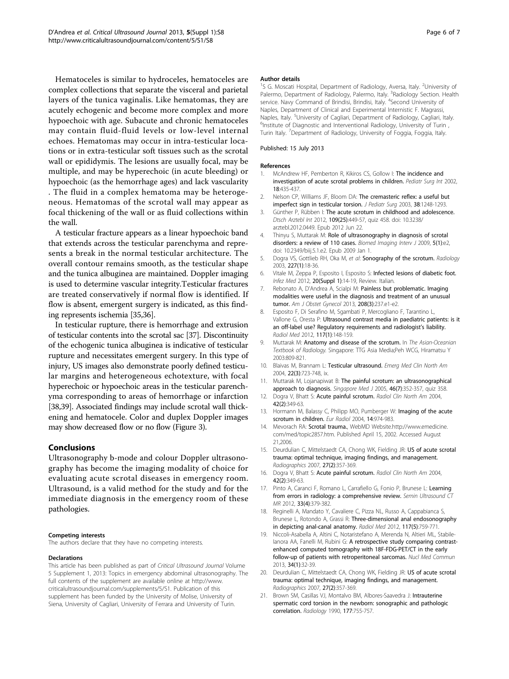<span id="page-5-0"></span>Hematoceles is similar to hydroceles, hematoceles are complex collections that separate the visceral and parietal layers of the tunica vaginalis. Like hematomas, they are acutely echogenic and become more complex and more hypoechoic with age. Subacute and chronic hematoceles may contain fluid-fluid levels or low-level internal echoes. Hematomas may occur in intra-testicular locations or in extra-testicular soft tissues such as the scrotal wall or epididymis. The lesions are usually focal, may be multiple, and may be hyperechoic (in acute bleeding) or hypoechoic (as the hemorrhage ages) and lack vascularity . The fluid in a complex hematoma may be heterogeneous. Hematomas of the scrotal wall may appear as focal thickening of the wall or as fluid collections within the wall.

A testicular fracture appears as a linear hypoechoic band that extends across the testicular parenchyma and represents a break in the normal testicular architecture. The overall contour remains smooth, as the testicular shape and the tunica albuginea are maintained. Doppler imaging is used to determine vascular integrity.Testicular fractures are treated conservatively if normal flow is identified. If flow is absent, emergent surgery is indicated, as this finding represents ischemia [[35,36\]](#page-6-0).

In testicular rupture, there is hemorrhage and extrusion of testicular contents into the scrotal sac [[37](#page-6-0)]. Discontinuity of the echogenic tunica albuginea is indicative of testicular rupture and necessitates emergent surgery. In this type of injury, US images also demonstrate poorly defined testicular margins and heterogeneous echotexture, with focal hyperechoic or hypoechoic areas in the testicular parenchyma corresponding to areas of hemorrhage or infarction [[38,39\]](#page-6-0). Associated findings may include scrotal wall thickening and hematocele. Color and duplex Doppler images may show decreased flow or no flow (Figure [3](#page-4-0)).

# Conclusions

Ultrasonography b-mode and colour Doppler ultrasonography has become the imaging modality of choice for evaluating acute scrotal diseases in emergency room. Ultrasound, is a valid method for the study and for the immediate diagnosis in the emergency room of these pathologies.

#### Competing interests

The authors declare that they have no competing interests.

#### Declarations

This article has been published as part of Critical Ultrasound Journal Volume 5 Supplement 1, 2013: Topics in emergency abdominal ultrasonography. The full contents of the supplement are available online at [http://www.](http://www.criticalultrasoundjournal.com/supplements/5/S1) [criticalultrasoundjournal.com/supplements/5/S1](http://www.criticalultrasoundjournal.com/supplements/5/S1). Publication of this supplement has been funded by the University of Molise, University of Siena, University of Cagliari, University of Ferrara and University of Turin.

#### Author details

<sup>1</sup>S G. Moscati Hospital, Department of Radiology, Aversa, Italy. <sup>2</sup>University of Palermo, Department of Radiology, Palermo, Italy. <sup>3</sup>Radiology Section. Health<br>service. Navy Command of Brindisi, Brindisi, Italy. <sup>4</sup>Second University of Naples, Department of Clinical and Experimental Internistic F. Magrassi, Naples, Italy. <sup>5</sup>University of Cagliari, Department of Radiology, Cagliari, Italy.<br><sup>6</sup>Institute of Diagnostic and Interventional Badiology, University of Turin. <sup>6</sup>Institute of Diagnostic and Interventional Radiology, University of Turin, Turin Italy. <sup>7</sup>Department of Radiology, University of Foggia, Foggia, Italy.

#### Published: 15 July 2013

### References

- 1. McAndrew HF, Pemberton R, Kikiros CS, Gollow I: The incidence and investigation of acute scrotal problems in children. Pediatr Surg Int 2002, 18:435-437.
- 2. Nelson CP, Williams JF, Bloom DA: The cremasteric reflex: a useful but imperfect sign in testicular torsion. *J Pediatr Surg 2003*, 38:1248-1293.
- 3. Günther P, Rübben I: The acute scrotum in childhood and adolescence. Dtsch Arztebl Int 2012, 109(25):449-57, quiz 458. doi: 10.3238/ arztebl.2012.0449. Epub 2012 Jun 22.
- 4. Thinyu S, Muttarak M: Role of ultrasonography in diagnosis of scrotal disorders: a review of 110 cases. Biomed Imaging Interv J 2009, 5(1):e2, doi: 10.2349/biij.5.1.e2. Epub 2009 Jan 1.
- 5. Dogra VS, Gottlieb RH, Oka M, et al: Sonography of the scrotum. Radiology 2003, 227(1):18-36.
- 6. Vitale M, Zeppa P, Esposito I, Esposito S: Infected lesions of diabetic foot. Infez Med 2012, 20(Suppl 1):14-19, Review. Italian.
- 7. Rebonato A, D'Andrea A, Scialpi M: Painless but problematic. Imaging modalities were useful in the diagnosis and treatment of an unusual tumor. Am J Obstet Gynecol 2013, 208(3):237.e1-e2.
- 8. Esposito F, Di Serafino M, Sgambati P, Mercogliano F, Tarantino L Vallone G, Oresta P: Ultrasound contrast media in paediatric patients: is it an off-label use? Regulatory requirements and radiologist's liability. Radiol Med 2012, 117(1):148-159.
- 9. Muttarak M: Anatomy and disease of the scrotum. In The Asian-Oceanian Textbook of Radiology. Singapore: TTG Asia Media;Peh WCG, Hiramatsu Y 2003:809-821.
- 10. Blaivas M, Brannam L: Testicular ultrasound. Emerg Med Clin North Am 2004, 22(3):723-748, ix.
- 11. Muttarak M, Lojanapiwat B: The painful scrotum: an ultrasonographical approach to diagnosis. Singapore Med J 2005, 46(7):352-357, quiz 358.
- 12. Dogra V, Bhatt S: Acute painful scrotum. Radiol Clin North Am 2004, 42(2):349-63.
- 13. Hormann M, Balassy C, Philipp MO, Pumberger W: Imaging of the acute scrotum in children. Fur Radiol 2004, 14:974-983.
- 14. Mevorach RA: Scrotal trauma., WebMD Website.http://www.emedicine. com/med/topic2857.htm. Published April 15, 2002. Accessed August 21,2006.
- 15. Deurdulian C, Mittelstaedt CA, Chong WK, Fielding JR: US of acute scrotal trauma: optimal technique, imaging findings, and management. Radiographics 2007, 27(2):357-369.
- 16. Dogra V, Bhatt S: Acute painful scrotum. Radiol Clin North Am 2004, 42(2):349-63.
- 17. Pinto A, Caranci F, Romano L, Carrafiello G, Fonio P, Brunese L: Learning from errors in radiology: a comprehensive review. Semin Ultrasound CT MR 2012, 33(4):379-382.
- 18. Reginelli A, Mandato Y, Cavaliere C, Pizza NL, Russo A, Cappabianca S, Brunese L, Rotondo A, Grassi R: Three-dimensional anal endosonography in depicting anal-canal anatomy. Radiol Med 2012, 117(5):759-771.
- 19. Niccoli-Asabella A, Altini C, Notaristefano A, Merenda N, Altieri ML, Stabilelanora AA, Fanelli M, Rubini G: A retrospective study comparing contrastenhanced computed tomography with 18F-FDG-PET/CT in the early follow-up of patients with retroperitoneal sarcomas. Nucl Med Commun 2013, 34(1):32-39.
- 20. Deurdulian C, Mittelstaedt CA, Chong WK, Fielding JR: US of acute scrotal trauma: optimal technique, imaging findings, and management. Radiographics 2007, 27(2):357-369.
- 21. Brown SM, Casillas VJ, Montalvo BM, Albores-Saavedra J: Intrauterine spermatic cord torsion in the newborn: sonographic and pathologic correlation. Radiology 1990, 177:755-757.